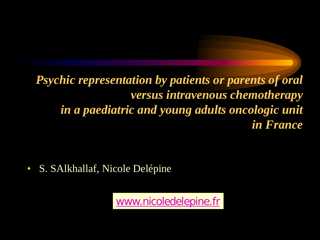*Psychic representation by patients or parents of oral versus intravenous chemotherapy in a paediatric and young adults oncologic unit in France*

• S. SAlkhallaf, Nicole Delépine

[www.nicoledelepine.fr](http://www.nicoledelepine.fr/)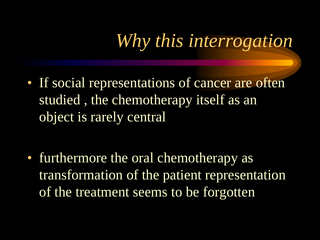## *Why this interrogation*

• If social representations of cancer are often studied , the chemotherapy itself as an object is rarely central

• furthermore the oral chemotherapy as transformation of the patient representation of the treatment seems to be forgotten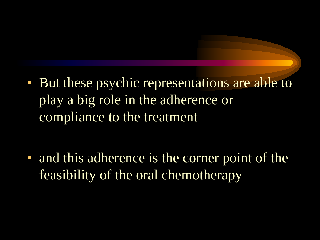• But these psychic representations are able to play a big role in the adherence or compliance to the treatment

• and this adherence is the corner point of the feasibility of the oral chemotherapy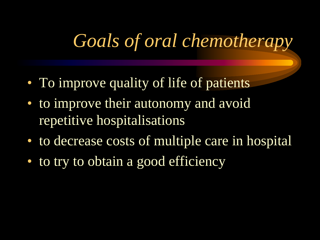#### *Goals of oral chemotherapy*

- To improve quality of life of patients
- to improve their autonomy and avoid repetitive hospitalisations
- to decrease costs of multiple care in hospital
- to try to obtain a good efficiency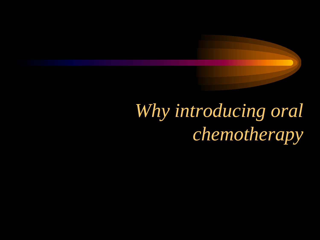*Why introducing oral chemotherapy*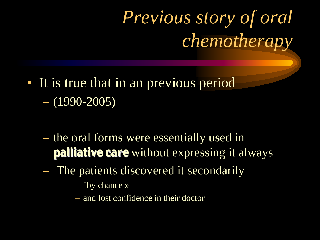## *Previous story of oral chemotherapy*

- It is true that in an previous period  $- (1990 - 2005)$ 
	- the oral forms were essentially used in **palliative care** without expressing it always
	- The patients discovered it secondarily
		- "by chance »
		- and lost confidence in their doctor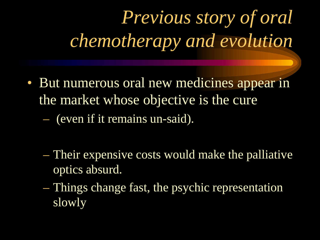# *Previous story of oral chemotherapy and evolution*

- But numerous oral new medicines appear in the market whose objective is the cure
	- (even if it remains un-said).
	- Their expensive costs would make the palliative optics absurd.
	- Things change fast, the psychic representation slowly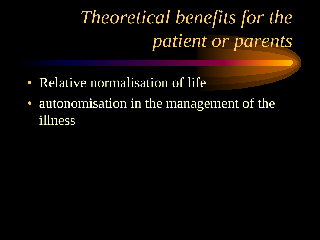# *Theoretical benefits for the patient or parents*

- Relative normalisation of life
- autonomisation in the management of the illness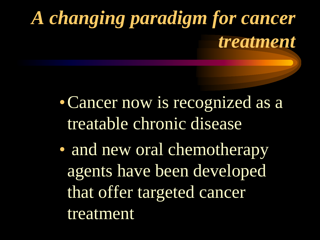## *A changing paradigm for cancer treatment*

- •Cancer now is recognized as a treatable chronic disease
- and new oral chemotherapy agents have been developed that offer targeted cancer treatment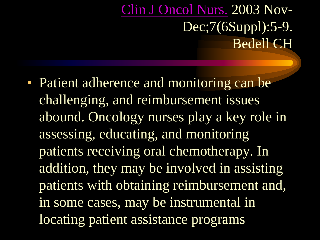#### [Clin](javascript:AL_get(this, ) [J Oncol](javascript:AL_get(this, ) [Nurs.](javascript:AL_get(this, ) 2003 Nov-Dec;7(6Suppl):5-9. Bedell CH

• Patient adherence and monitoring can be challenging, and reimbursement issues abound. Oncology nurses play a key role in assessing, educating, and monitoring patients receiving oral chemotherapy. In addition, they may be involved in assisting patients with obtaining reimbursement and, in some cases, may be instrumental in locating patient assistance programs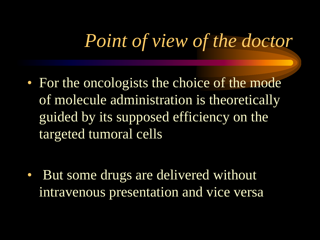#### *Point of view of the doctor*

• For the oncologists the choice of the mode of molecule administration is theoretically guided by its supposed efficiency on the targeted tumoral cells

• But some drugs are delivered without intravenous presentation and vice versa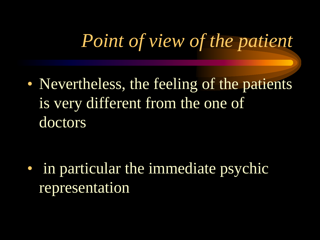## *Point of view of the patient*

• Nevertheless, the feeling of the patients is very different from the one of doctors

• in particular the immediate psychic representation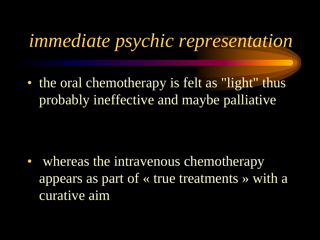#### *immediate psychic representation*

• the oral chemotherapy is felt as "light" thus probably ineffective and maybe palliative

• whereas the intravenous chemotherapy appears as part of « true treatments » with a curative aim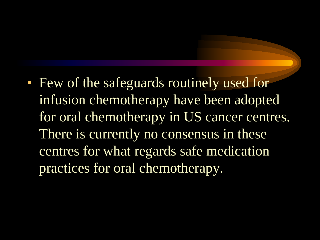• Few of the safeguards routinely used for infusion chemotherapy have been adopted for oral chemotherapy in US cancer centres. There is currently no consensus in these centres for what regards safe medication practices for oral chemotherapy.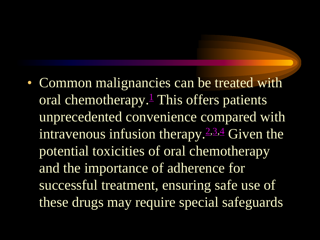• Common malignancies can be treated with oral chemotherapy. $\frac{1}{1}$  This offers patients unprecedented convenience compared with intravenous infusion therapy.<sup> $2,3,4$ </sup> Given the potential toxicities of oral chemotherapy and the importance of adherence for successful treatment, ensuring safe use of these drugs may require special safeguards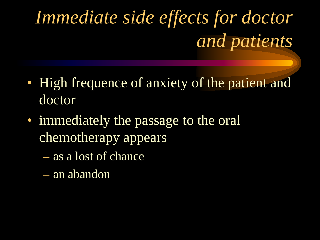# *Immediate side effects for doctor and patients*

- High frequence of anxiety of the patient and doctor
- immediately the passage to the oral chemotherapy appears
	- as a lost of chance
	- an abandon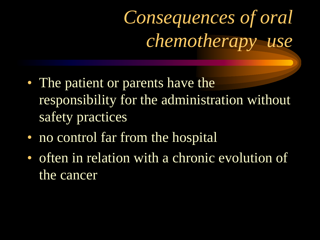## *Consequences of oral chemotherapy use*

- The patient or parents have the responsibility for the administration without safety practices
- no control far from the hospital
- often in relation with a chronic evolution of the cancer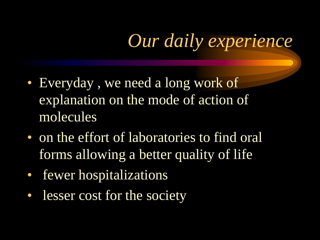### *Our daily experience*

- Everyday, we need a long work of explanation on the mode of action of molecules
- on the effort of laboratories to find oral forms allowing a better quality of life
- fewer hospitalizations
- lesser cost for the society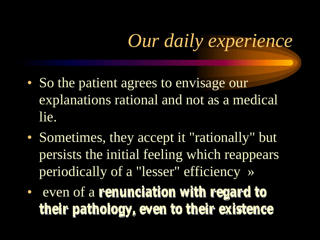### *Our daily experience*

- So the patient agrees to envisage our explanations rational and not as a medical lie.
- Sometimes, they accept it "rationally" but persists the initial feeling which reappears periodically of a "lesser" efficiency »
- even of a **renunciation with regard to their pathology, even to their existence**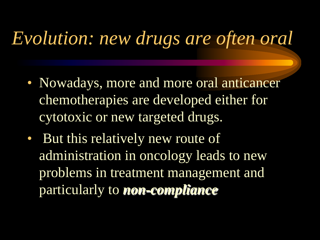#### *Evolution: new drugs are often oral*

- Nowadays, more and more oral anticancer chemotherapies are developed either for cytotoxic or new targeted drugs.
- But this relatively new route of administration in oncology leads to new problems in treatment management and particularly to *non-compliance*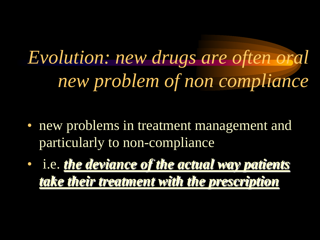*Evolution: new drugs are often oral new problem of non compliance* 

- new problems in treatment management and particularly to non-compliance
- i.e. *the deviance of the actual way patients take their treatment with the prescription*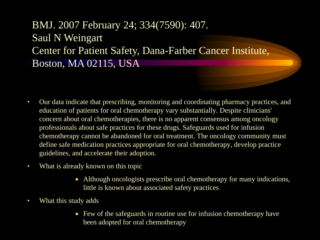BMJ. 2007 February 24; 334(7590): 407. Saul N Weingart Center for Patient Safety, Dana-Farber Cancer Institute, Boston, MA 02115, USA

- Our data indicate that prescribing, monitoring and coordinating pharmacy practices, and tion of nationte for oral obemothereny yers eubetentially. Decrite olim education of patients for oral chemotherapy vary substantially. Despite clinicians' concern about oral chemotherapies, there is no apparent consensus among oncology professionals about safe practices for these drugs. Safeguards used for infusion chemotherapy cannot be abandoned for oral treatment. The oncology community must define safe medication practices appropriate for oral chemotherapy, develop practice guidelines, and accelerate their adoption.
- What is already known on this topic
	- Although oncologists prescribe oral chemotherapy for many indications, little is known about associated safety practices
- What this study adds
	- Few of the safeguards in routine use for infusion chemotherapy have been adopted for oral chemotherapy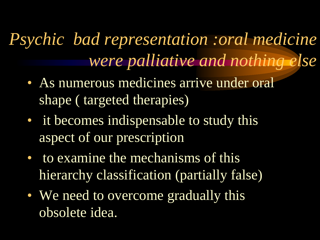*Psychic bad representation :oral medicine were palliative and nothing else*

- As numerous medicines arrive under oral shape ( targeted therapies)
- it becomes indispensable to study this aspect of our prescription
- to examine the mechanisms of this hierarchy classification (partially false)
- We need to overcome gradually this obsolete idea.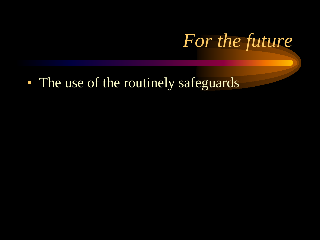

• The use of the routinely safeguards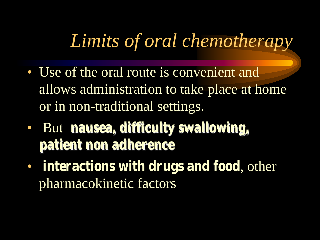#### *Limits of oral chemotherapy*

- Use of the oral route is convenient and allows administration to take place at home or in non-traditional settings.
- But **nausea, difficulty swallowing, patient non adherence**
- **interactions with drugs and food**, other pharmacokinetic factors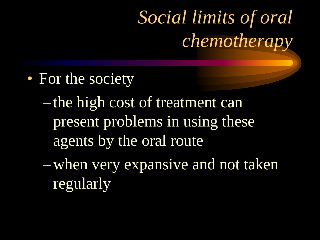## *Social limits of oral chemotherapy*

- For the society
	- –the high cost of treatment can present problems in using these agents by the oral route
	- –when very expansive and not taken regularly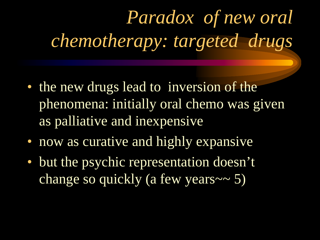# *Paradox of new oral chemotherapy: targeted drugs*

- the new drugs lead to inversion of the phenomena: initially oral chemo was given as palliative and inexpensive
- now as curative and highly expansive
- but the psychic representation doesn't change so quickly (a few years~~ 5)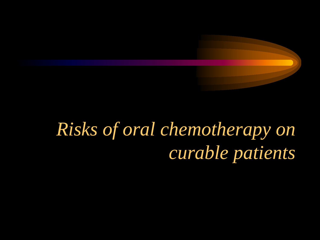## *Risks of oral chemotherapy on curable patients*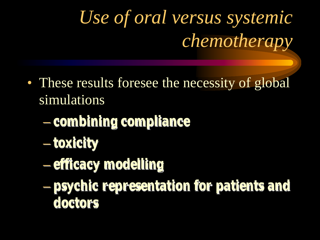# *Use of oral versus systemic chemotherapy*

- These results foresee the necessity of global simulations
	- **combining compliance**
	- **toxicity**
	- **efficacy modelling**
	- **psychic representation for patients and doctors**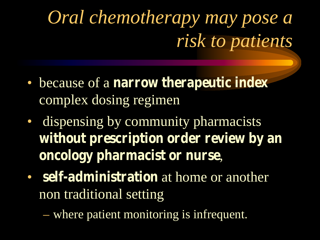## *Oral chemotherapy may pose a risk to patients*

- because of a **narrow therapeutic index** complex dosing regimen
- dispensing by community pharmacists **without prescription order review by an oncology pharmacist or nurse**,
- **self-administration** at home or another non traditional setting

– where patient monitoring is infrequent.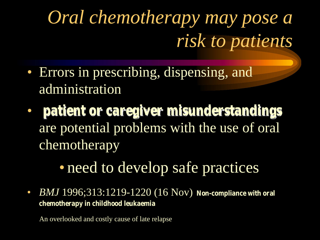## *Oral chemotherapy may pose a risk to patients*

- Errors in prescribing, dispensing, and administration
- **patient or caregiver misunderstandings** are potential problems with the use of oral chemotherapy

#### • need to develop safe practices

• *BMJ* 1996;313:1219-1220 (16 Nov) **Non-compliance with oral chemotherapy in childhood leukaemia** 

An overlooked and costly cause of late relapse